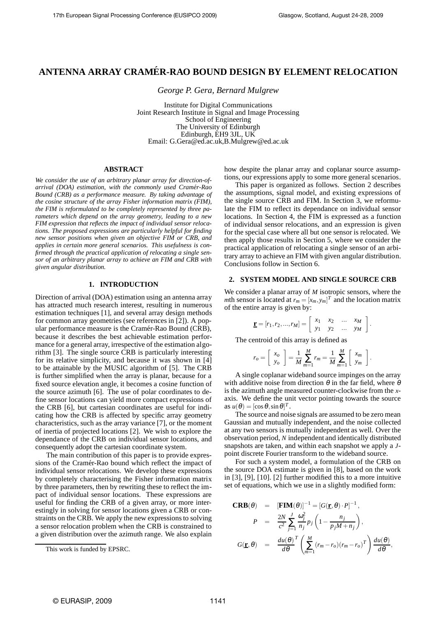# **ANTENNA ARRAY CRAMER-RAO BOUND DESIGN BY ELEMENT RELOCATION ´**

*George P. Gera, Bernard Mulgrew*

Institute for Digital Communications Joint Research Institute in Signal and Image Processing School of Engineering The University of Edinburgh Edinburgh, EH9 3JL, UK Email: G.Gera@ed.ac.uk,B.Mulgrew@ed.ac.uk

## **ABSTRACT**

*We consider the use of an arbitrary planar array for direction-ofarrival (DOA) estimation, with the commonly used Cram´er-Rao Bound (CRB) as a performance measure. By taking advantage of the cosine structure of the array Fisher information matrix (FIM), the FIM is reformulated to be completely represented by three parameters which depend on the array geometry, leading to a new FIM expression that reflects the impact of individual sensor relocations. The proposed expressions are particularly helpful for finding new sensor positions when given an objective FIM or CRB, and applies in certain more general scenarios. This usefulness is confirmed through the practical application of relocating a single sensor of an arbitrary planar array to achieve an FIM and CRB with given angular distribution.*

## **1. INTRODUCTION**

Direction of arrival (DOA) estimation using an antenna array has attracted much research interest, resulting in numerous estimation techniques [1], and several array design methods for common array geometries (see references in [2]). A popular performance measure is the Cramér-Rao Bound (CRB), because it describes the best achievable estimation performance for a general array, irrespective of the estimation algorithm [3]. The single source CRB is particularly interesting for its relative simplicity, and because it was shown in [4] to be attainable by the MUSIC algorithm of [5]. The CRB is further simplified when the array is planar, because for a fixed source elevation angle, it becomes a cosine function of the source azimuth [6]. The use of polar coordinates to define sensor locations can yield more compact expressions of the CRB [6], but cartesian coordinates are useful for indicating how the CRB is affected by specific array geometry characteristics, such as the array variance [7], or the moment of inertia of projected locations [2]. We wish to explore the dependance of the CRB on individual sensor locations, and consequently adopt the cartesian coordinate system.

The main contribution of this paper is to provide expressions of the Cramér-Rao bound which reflect the impact of individual sensor relocations. We develop these expressions by completely characterising the Fisher information matrix by three parameters, then by rewriting these to reflect the impact of individual sensor locations. These expressions are useful for finding the CRB of a given array, or more interestingly in solving for sensor locations given a CRB or constraints on the CRB. We apply the new expressions to solving a sensor relocation problem when the CRB is constrained to a given distribution over the azimuth range. We also explain how despite the planar array and coplanar source assumptions, our expressions apply to some more general scenarios.

This paper is organized as follows. Section 2 describes the assumptions, signal model, and existing expressions of the single source CRB and FIM. In Section 3, we reformulate the FIM to reflect its dependance on individual sensor locations. In Section 4, the FIM is expressed as a function of individual sensor relocations, and an expression is given for the special case where all but one sensor is relocated. We then apply those results in Section 5, where we consider the practical application of relocating a single sensor of an arbitrary array to achieve an FIM with given angular distribution. Conclusions follow in Section 6.

## **2. SYSTEM MODEL AND SINGLE SOURCE CRB**

We consider a planar array of *M* isotropic sensors, where the *m*th sensor is located at  $r_m = [x_m, y_m]^T$  and the location matrix of the entire array is given by:

$$
\mathbf{\underline{r}} = [r_1, r_2, ..., r_M] = \left[ \begin{array}{cccc} x_1 & x_2 & \dots & x_M \\ y_1 & y_2 & \dots & y_M \end{array} \right].
$$

The centroid of this array is defined as

$$
r_o = \left[ \begin{array}{c} x_o \\ y_o \end{array} \right] = \frac{1}{M} \sum_{m=1}^{M} r_m = \frac{1}{M} \sum_{m=1}^{M} \left[ \begin{array}{c} x_m \\ y_m \end{array} \right].
$$

A single coplanar wideband source impinges on the array with additive noise from direction  $\theta$  in the far field, where  $\theta$ is the azimuth angle measured counter-clockwise from the *x*axis. We define the unit vector pointing towards the source  $\text{as } u(\theta) = [\cos \theta, \sin \theta]^T.$ 

The source and noise signals are assumed to be zero mean Gaussian and mutually independent, and the noise collected at any two sensors is mutually independent as well. Over the observation period, *N* independent and identically distributed snapshots are taken, and within each snapshot we apply a *J*point discrete Fourier transform to the wideband source.

For such a system model, a formulation of the CRB on the source DOA estimate is given in [8], based on the work in [3], [9], [10]. [2] further modified this to a more intuitive set of equations, which we use in a slightly modified form:

**CRB**(θ) = [FIM(θ)]<sup>-1</sup> = [G(**r**, θ) · P]<sup>-1</sup>,  
\n
$$
P = \frac{2N}{c^2} \sum_{j=1}^{J} \frac{\omega_j^2}{n_j} p_j \left(1 - \frac{n_j}{p_j M + n_j}\right),
$$
\nG(**r**, θ) = 
$$
\frac{d u(\theta)}{d\theta}^T \left( \sum_{m=1}^{M} (r_m - r_o) (r_m - r_o)^T \right) \frac{d u(\theta)}{d\theta},
$$

This work is funded by EPSRC.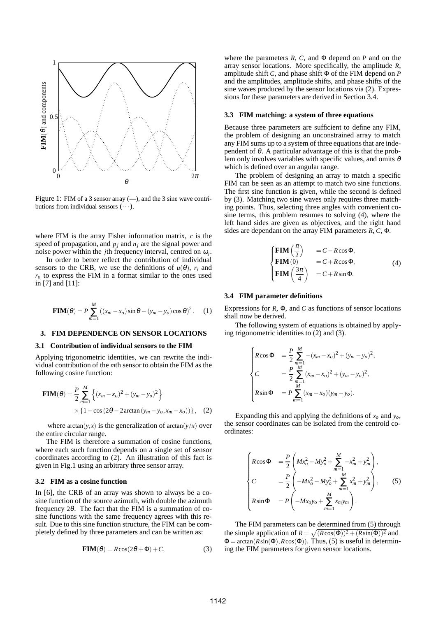

Figure 1: FIM of a 3 sensor array (**—**), and the 3 sine wave contributions from individual sensors  $(\cdots)$ .

where FIM is the array Fisher information matrix, *c* is the speed of propagation, and  $p_i$  and  $n_j$  are the signal power and noise power within the *j*th frequency interval, centred on <sup>ω</sup>*<sup>j</sup>* .

In order to better reflect the contribution of individual sensors to the CRB, we use the definitions of  $u(\theta)$ ,  $r_i$  and  $r<sub>o</sub>$  to express the FIM in a format similar to the ones used in [7] and [11]:

$$
\mathbf{FIM}(\theta) = P \sum_{m=1}^{M} ((x_m - x_o) \sin \theta - (y_m - y_o) \cos \theta)^2.
$$
 (1)

# **3. FIM DEPENDENCE ON SENSOR LOCATIONS**

## **3.1 Contribution of individual sensors to the FIM**

Applying trigonometric identities, we can rewrite the individual contribution of the *m*th sensor to obtain the FIM as the following cosine function:

$$
FIM(θ) = \frac{P}{2} \sum_{m=1}^{M} \left\{ (x_m - x_o)^2 + (y_m - y_o)^2 \right\}
$$
  
× {1 – cos (2θ – 2 arctan (y<sub>m</sub> – y<sub>o</sub>, x<sub>m</sub> – x<sub>o</sub>)})}, (2)

where  $arctan(y, x)$  is the generalization of  $arctan(y/x)$  over the entire circular range.

The FIM is therefore a summation of cosine functions, where each such function depends on a single set of sensor coordinates according to (2). An illustration of this fact is given in Fig.1 using an arbitrary three sensor array.

## **3.2 FIM as a cosine function**

In [6], the CRB of an array was shown to always be a cosine function of the source azimuth, with double the azimuth frequency 2θ. The fact that the FIM is a summation of cosine functions with the same frequency agrees with this result. Due to this sine function structure, the FIM can be completely defined by three parameters and can be written as:

$$
FIM(\theta) = R\cos(2\theta + \Phi) + C,\tag{3}
$$

where the parameters  $R$ ,  $C$ , and  $\Phi$  depend on  $P$  and on the array sensor locations. More specifically, the amplitude *R*, amplitude shift *C*, and phase shift Φ of the FIM depend on *P* and the amplitudes, amplitude shifts, and phase shifts of the sine waves produced by the sensor locations via (2). Expressions for these parameters are derived in Section 3.4.

#### **3.3 FIM matching: a system of three equations**

Because three parameters are sufficient to define any FIM, the problem of designing an unconstrained array to match any FIM sums up to a system of three equations that are independent of  $\theta$ . A particular advantage of this is that the problem only involves variables with specific values, and omits  $\theta$ which is defined over an angular range.

The problem of designing an array to match a specific FIM can be seen as an attempt to match two sine functions. The first sine function is given, while the second is defined by (3). Matching two sine waves only requires three matching points. Thus, selecting three angles with convenient cosine terms, this problem resumes to solving (4), where the left hand sides are given as objectives, and the right hand sides are dependant on the array FIM parameters *R*, *C*, Φ.

$$
\begin{cases}\n\mathbf{FIM} \left( \frac{\pi}{2} \right) &= C - R \cos \Phi, \\
\mathbf{FIM} (0) &= C + R \cos \Phi, \\
\mathbf{FIM} \left( \frac{3\pi}{4} \right) &= C + R \sin \Phi.\n\end{cases} \tag{4}
$$

#### **3.4 FIM parameter definitions**

Expressions for *R*, Φ, and *C* as functions of sensor locations shall now be derived.

The following system of equations is obtained by applying trigonometric identities to (2) and (3).

$$
\begin{cases}\nR\cos\Phi &= \frac{P}{2}\sum_{m=1}^{M} -(x_m - x_o)^2 + (y_m - y_o)^2, \\
C &= \frac{P}{2}\sum_{m=1}^{M} (x_m - x_o)^2 + (y_m - y_o)^2, \\
R\sin\Phi &= P\sum_{m=1}^{M} (x_m - x_o)(y_m - y_o).\n\end{cases}
$$

Expanding this and applying the definitions of *x<sup>o</sup>* and *yo*, the sensor coordinates can be isolated from the centroid coordinates:

$$
\begin{cases}\nR\cos\Phi &= \frac{P}{2}\left(Mx_o^2 - My_o^2 + \sum_{m=1}^M -x_m^2 + y_m^2\right), \\
C &= \frac{P}{2}\left(-Mx_o^2 - My_o^2 + \sum_{m=1}^M x_m^2 + y_m^2\right), \\
R\sin\Phi &= P\left(-Mx_oy_o + \sum_{m=1}^M x_my_m\right).\n\end{cases}
$$
(5)

The FIM parameters can be determined from (5) through the simple application of  $R = \sqrt{(R\cos(\Phi))^2 + (R\sin(\Phi))^2}$  and  $\Phi = \arctan(R\sin(\Phi), R\cos(\Phi))$ . Thus, (5) is useful in determining the FIM parameters for given sensor locations.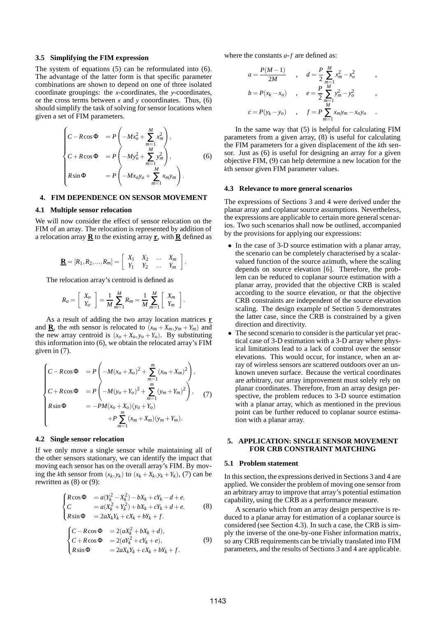## **3.5 Simplifying the FIM expression**

The system of equations (5) can be reformulated into (6). The advantage of the latter form is that specific parameter combinations are shown to depend on one of three isolated coordinate groupings: the *x*-coordinates, the *y*-coordinates, or the cross terms between *x* and *y* cooordinates. Thus, (6) should simplify the task of solving for sensor locations when given a set of FIM parameters.

$$
\begin{cases}\nC - R\cos\Phi &= P\left(-Mx_o^2 + \sum_{m=1}^M x_m^2\right), \\
C + R\cos\Phi &= P\left(-My_o^2 + \sum_{m=1}^M y_m^2\right), \\
R\sin\Phi &= P\left(-Mx_oy_o + \sum_{m=1}^M x_my_m\right).\n\end{cases}
$$
\n(6)

# **4. FIM DEPENDENCE ON SENSOR MOVEMENT**

## **4.1 Multiple sensor relocation**

We will now consider the effect of sensor relocation on the FIM of an array. The relocation is represented by addition of a relocation array **R** to the existing array **r**, with **R** defined as

$$
\mathbf{\underline{R}} = [R_1, R_2, ..., R_m] = \left[ \begin{array}{cccc} X_1 & X_2 & ... & X_m \\ Y_1 & Y_2 & ... & Y_m \end{array} \right]
$$

.

.

The relocation array's centroid is defined as

$$
R_o = \left[ \begin{array}{c} X_o \\ Y_o \end{array} \right] = \frac{1}{M} \sum_{m=1}^{M} R_m = \frac{1}{M} \sum_{m=1}^{M} \left[ \begin{array}{c} X_m \\ Y_m \end{array} \right]
$$

As a result of adding the two array location matrices **r** and  $\underline{\mathbf{R}}$ , the *m*th sensor is relocated to  $(x_m + X_m, y_m + Y_m)$  and the new array centroid is  $(x_o + X_o, y_o + Y_o)$ . By substituting this information into (6), we obtain the relocated array's FIM given in (7).

$$
\begin{cases}\nC - R\cos\Phi &= P\left(-M(x_o + X_o)^2 + \sum_{m=1}^m (x_m + X_m)^2\right), \\
C + R\cos\Phi &= P\left(-M(y_o + Y_o)^2 + \sum_{m=1}^m (y_m + Y_m)^2\right), \\
R\sin\Phi &= -PM(x_o + X_o)(y_o + Y_o) \\
+ P\sum_{m=1}^m (x_m + X_m)(y_m + Y_m).\n\end{cases}
$$
\n(7)

#### **4.2 Single sensor relocation**

If we only move a single sensor while maintaining all of the other sensors stationary, we can identify the impact that moving each sensor has on the overall array's FIM. By moving the *k*th sensor from  $(x_k, y_k)$  to  $(x_k + X_k, y_k + Y_k)$ , (7) can be rewritten as (8) or (9):

$$
\begin{cases}\nR\cos\Phi & = a(Y_k^2 - X_k^2) - bX_k + cY_k - d + e, \\
C & = a(X_k^2 + Y_k^2) + bX_k + cY_k + d + e, \\
R\sin\Phi & = 2aX_kY_k + cX_k + bY_k + f.\n\end{cases}
$$
\n(8)

$$
\begin{cases}\nC - R\cos\Phi &= 2(aX_k^2 + bX_k + d), \\
C + R\cos\Phi &= 2(aY_k^2 + cY_k + e), \\
R\sin\Phi &= 2aX_kY_k + cX_k + bY_k + f.\n\end{cases}
$$
\n(9)

where the constants *a*-*f* are defined as:

$$
a = \frac{P(M-1)}{2M} , d = \frac{P}{2} \sum_{m=1}^{M} x_m^2 - x_o^2 ,
$$
  
\n
$$
b = P(x_k - x_o) , e = \frac{P}{2} \sum_{m=1}^{M} y_m^2 - y_o^2 ,
$$
  
\n
$$
c = P(y_k - y_o) , f = P \sum_{m=1}^{M} x_m y_m - x_o y_o .
$$

In the same way that (5) is helpful for calculating FIM parameters from a given array, (8) is useful for calculating the FIM parameters for a given displacement of the *k*th sensor. Just as (6) is useful for designing an array for a given objective FIM, (9) can help determine a new location for the *k*th sensor given FIM parameter values.

## **4.3 Relevance to more general scenarios**

The expressions of Sections 3 and 4 were derived under the planar array and coplanar source assumptions. Nevertheless, the expressions are applicable to certain more general scenarios. Two such scenarios shall now be outlined, accompanied by the provisions for applying our expressions:

- In the case of 3-D source estimation with a planar array, the scenario can be completely characterised by a scalarvalued function of the source azimuth, where the scaling depends on source elevation [6]. Therefore, the problem can be reduced to coplanar source estimation with a planar array, provided that the objective CRB is scaled according to the source elevation, or that the objective CRB constraints are independent of the source elevation scaling. The design example of Section 5 demonstrates the latter case, since the CRB is constrained by a given direction and directivity.
- The second scenario to consider is the particular yet practical case of 3-D estimation with a 3-D array where physical limitations lead to a lack of control over the sensor elevations. This would occur, for instance, when an array of wireless sensors are scattered outdoors over an unknown uneven surface. Because the vertical coordinates are arbitrary, our array improvement must solely rely on planar coordinates. Therefore, from an array design perspective, the problem reduces to 3-D source estimation with a planar array, which as mentioned in the previous point can be further reduced to coplanar source estimation with a planar array.

## **5. APPLICATION: SINGLE SENSOR MOVEMENT FOR CRB CONSTRAINT MATCHING**

#### **5.1 Problem statement**

In this section, the expressions derived in Sections 3 and 4 are applied. We consider the problem of moving one sensor from an arbitrary array to improve that array's potential estimation capability, using the CRB as a performance measure.

A scenario which from an array design perspective is reduced to a planar array for estimation of a coplanar source is considered (see Section 4.3). In such a case, the CRB is simply the inverse of the one-by-one Fisher information matrix, so any CRB requirements can be trivially translated into FIM parameters, and the results of Sections 3 and 4 are applicable.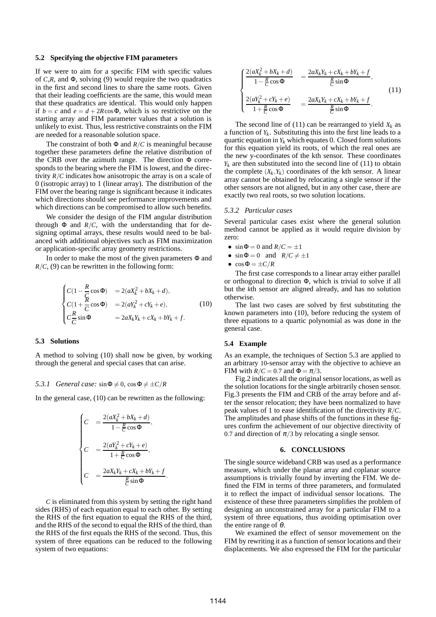## **5.2 Specifying the objective FIM parameters**

If we were to aim for a specific FIM with specific values of *C*,*R*, and Φ, solving (9) would require the two quadratics in the first and second lines to share the same roots. Given that their leading coefficients are the same, this would mean that these quadratics are identical. This would only happen if  $b = c$  and  $e = d + 2R \cos \Phi$ , which is so restrictive on the starting array and FIM parameter values that a solution is unlikely to exist. Thus, less restrictive constraints on the FIM are needed for a reasonable solution space.

The constraint of both  $\Phi$  and  $R/C$  is meaningful because together these parameters define the relative distribution of the CRB over the azimuth range. The direction Φ corresponds to the bearing where the FIM is lowest, and the directivity *R*/*C* indicates how anisotropic the array is on a scale of 0 (isotropic array) to 1 (linear array). The distribution of the FIM over the bearing range is significant because it indicates which directions should see performance improvements and which directions can be compromised to allow such benefits.

We consider the design of the FIM angular distribution through  $\Phi$  and  $R/C$ , with the understanding that for designing optimal arrays, these results would need to be balanced with additional objectives such as FIM maximization or application-specific array geometry restrictions.

In order to make the most of the given parameters Φ and  $R/C$ , (9) can be rewritten in the following form:

$$
\begin{cases}\nC(1 - \frac{R}{\zeta}\cos\Phi) &= 2(aX_k^2 + bX_k + d), \\
C(1 + \frac{R}{C}\cos\Phi) &= 2(aY_k^2 + cY_k + e), \\
C\frac{R}{C}\sin\Phi &= 2aX_kY_k + cX_k + bY_k + f.\n\end{cases}
$$
\n(10)

## **5.3 Solutions**

A method to solving (10) shall now be given, by working through the general and special cases that can arise.

## *5.3.1 General case:*  $\sin \Phi \neq 0$ ,  $\cos \Phi \neq \pm C/R$

In the general case, (10) can be rewritten as the following:

$$
\begin{cases}\nC &= \frac{2(aX_k^2 + bX_k + d)}{1 - \frac{R}{C}\cos\Phi}, \\
C &= \frac{2(aY_k^2 + cY_k + e)}{1 + \frac{R}{C}\cos\Phi}, \\
C &= \frac{2aX_kY_k + cX_k + bY_k + f}{\frac{R}{C}\sin\Phi}.\n\end{cases}
$$

*C* is eliminated from this system by setting the right hand sides (RHS) of each equation equal to each other. By setting the RHS of the first equation to equal the RHS of the third, and the RHS of the second to equal the RHS of the third, than the RHS of the first equals the RHS of the second. Thus, this system of three equations can be reduced to the following system of two equations:

$$
\begin{cases}\n\frac{2(aX_k^2 + bX_k + d)}{1 - \frac{R}{C}\cos\Phi} &= \frac{2aX_kY_k + cX_k + bY_k + f}{\frac{R}{C}\sin\Phi}, \\
\frac{2(aY_k^2 + cY_k + e)}{1 + \frac{R}{C}\cos\Phi} &= \frac{2aX_kY_k + cX_k + bY_k + f}{\frac{R}{C}\sin\Phi}.\n\end{cases}\n\tag{11}
$$

The second line of (11) can be rearranged to yield  $X_k$  as a function of *Y<sup>k</sup>* . Substituting this into the first line leads to a quartic equation in  $Y_k$  which equates 0. Closed form solutions for this equation yield its roots, of which the real ones are the new y-coordinates of the kth sensor. These coordinates  $Y_k$  are then substituted into the second line of (11) to obtain the complete  $(X_k, Y_k)$  coordinates of the kth sensor. A linear array cannot be obtained by relocating a single sensor if the other sensors are not aligned, but in any other case, there are exactly two real roots, so two solution locations.

#### *5.3.2 Particular cases*

Several particular cases exist where the general solution method cannot be applied as it would require division by zero:

- $\sin \Phi = 0$  and  $R/C = \pm 1$
- $\sin \Phi = 0$  and  $R/C \neq \pm 1$
- $\cos \Phi = \pm C/R$

The first case corresponds to a linear array either parallel or orthogonal to direction Φ, which is trivial to solve if all but the *k*th sensor are aligned already, and has no solution otherwise.

The last two cases are solved by first substituting the known parameters into (10), before reducing the system of three equations to a quartic polynomial as was done in the general case.

## **5.4 Example**

As an example, the techniques of Section 5.3 are applied to an arbitrary 10-sensor array with the objective to achieve an FIM with  $R/C = 0.7$  and  $\Phi = \pi/3$ .

Fig.2 indicates all the original sensor locations, as well as the solution locations for the single arbitrarily chosen sensor. Fig.3 presents the FIM and CRB of the array before and after the sensor relocation; they have been normalized to have peak values of 1 to ease identification of the directivity *R*/*C*. The amplitudes and phase shifts of the functions in these figures confirm the achievement of our objective directivity of 0.7 and direction of  $\pi/3$  by relocating a single sensor.

## **6. CONCLUSIONS**

The single source wideband CRB was used as a performance measure, which under the planar array and coplanar source assumptions is trivially found by inverting the FIM. We defined the FIM in terms of three parameters, and formulated it to reflect the impact of individual sensor locations. The existence of these three parameters simplifies the problem of designing an unconstrained array for a particular FIM to a system of three equations, thus avoiding optimisation over the entire range of  $\theta$ .

We examined the effect of sensor movemement on the FIM by rewriting it as a function of sensor locations and their displacements. We also expressed the FIM for the particular